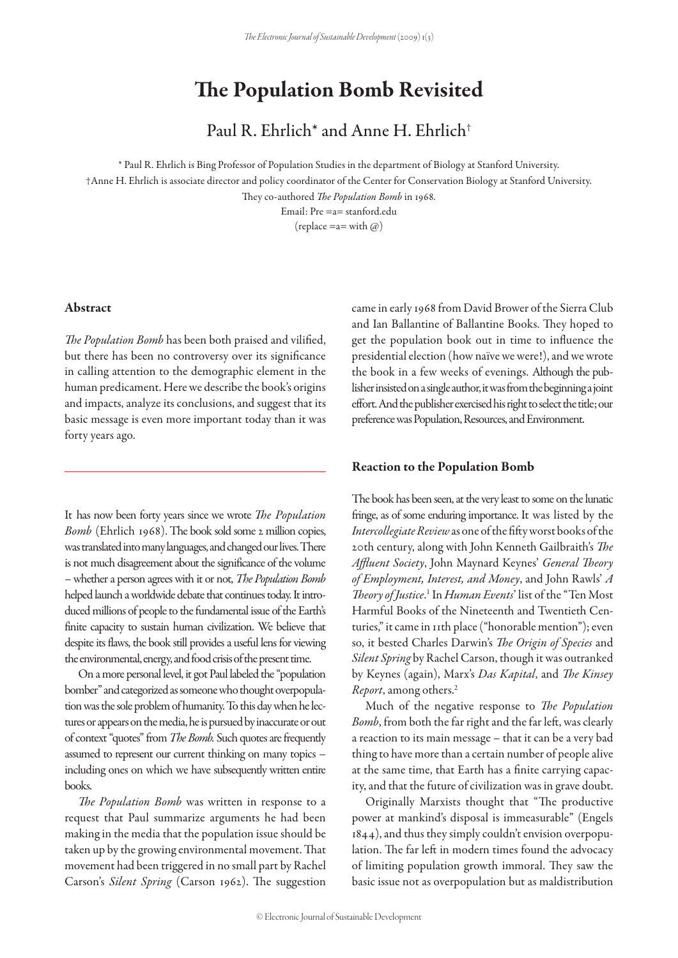# The Population Bomb Revisited

Paul R. Ehrlich\* and Anne H. Ehrlich†

\* Paul R. Ehrlich is Bing Professor of Population Studies in the department of Biology at Stanford University. †Anne H. Ehrlich is associate director and policy coordinator of the Center for Conservation Biology at Stanford University. They co-authored *The Population Bomb* in 1968.

Email: Pre =a= stanford.edu (replace  $=$ a $=$  with  $\omega$ )

#### Abstract

*The Population Bomb* has been both praised and vilified, but there has been no controversy over its significance in calling attention to the demographic element in the human predicament. Here we describe the book's origins and impacts, analyze its conclusions, and suggest that its basic message is even more important today than it was forty years ago.

It has now been forty years since we wrote *The Population Bomb* (Ehrlich 1968). The book sold some 2 million copies, was translated into many languages, and changed our lives. There is not much disagreement about the significance of the volume – whether a person agrees with it or not, *The Population Bomb* helped launch a worldwide debate that continues today. It introduced millions of people to the fundamental issue of the Earth's finite capacity to sustain human civilization. We believe that despite its flaws, the book still provides a useful lens for viewing the environmental, energy, and food crisis of the present time.

On a more personal level, it got Paul labeled the "population bomber" and categorized as someone who thought overpopulation was the sole problem of humanity. To this day when he lectures or appears on the media, he is pursued by inaccurate or out of context "quotes" from *The Bomb.* Such quotes are frequently assumed to represent our current thinking on many topics – including ones on which we have subsequently written entire books.

*The Population Bomb* was written in response to a request that Paul summarize arguments he had been making in the media that the population issue should be taken up by the growing environmental movement. That movement had been triggered in no small part by Rachel Carson's *Silent Spring* (Carson 1962). The suggestion came in early 1968 from David Brower of the Sierra Club and Ian Ballantine of Ballantine Books. They hoped to get the population book out in time to influence the presidential election (how naïve we were!), and we wrote the book in a few weeks of evenings. Although the publisher insisted on a single author, it was from the beginning a joint effort. And the publisher exercised his right to select the title; our preference was Population, Resources, and Environment.

#### Reaction to the Population Bomb

The book has been seen, at the very least to some on the lunatic fringe, as of some enduring importance. It was listed by the *Intercollegiate Review* as one of the fifty worst books of the 20th century, along with John Kenneth Gailbraith's *The Affluent Society*, John Maynard Keynes' *General Theory of Employment, Interest, and Money*, and John Rawls' *A Theory of Justice*. 1 In *Human Events*' list of the "Ten Most Harmful Books of the Nineteenth and Twentieth Centuries," it came in 11th place ("honorable mention"); even so, it bested Charles Darwin's *The Origin of Species* and *Silent Spring* by Rachel Carson, though it was outranked by Keynes (again), Marx's *Das Kapital*, and *The Kinsey Report*, among others.2

Much of the negative response to *The Population Bomb*, from both the far right and the far left, was clearly a reaction to its main message – that it can be a very bad thing to have more than a certain number of people alive at the same time, that Earth has a finite carrying capacity, and that the future of civilization was in grave doubt.

Originally Marxists thought that "The productive power at mankind's disposal is immeasurable" (Engels 1844), and thus they simply couldn't envision overpopulation. The far left in modern times found the advocacy of limiting population growth immoral. They saw the basic issue not as overpopulation but as maldistribution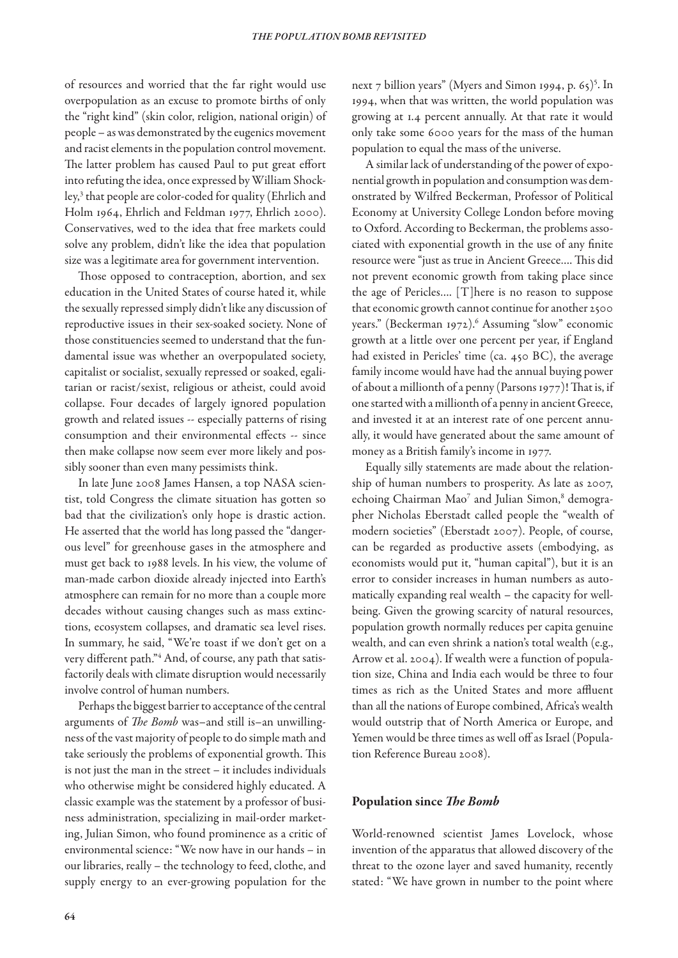of resources and worried that the far right would use overpopulation as an excuse to promote births of only the "right kind" (skin color, religion, national origin) of people – as was demonstrated by the eugenics movement and racist elements in the population control movement. The latter problem has caused Paul to put great effort into refuting the idea, once expressed by William Shockley,3 that people are color-coded for quality (Ehrlich and Holm 1964, Ehrlich and Feldman 1977, Ehrlich 2000). Conservatives, wed to the idea that free markets could solve any problem, didn't like the idea that population size was a legitimate area for government intervention.

Those opposed to contraception, abortion, and sex education in the United States of course hated it, while the sexually repressed simply didn't like any discussion of reproductive issues in their sex-soaked society. None of those constituencies seemed to understand that the fundamental issue was whether an overpopulated society, capitalist or socialist, sexually repressed or soaked, egalitarian or racist/sexist, religious or atheist, could avoid collapse. Four decades of largely ignored population growth and related issues -- especially patterns of rising consumption and their environmental effects -- since then make collapse now seem ever more likely and possibly sooner than even many pessimists think.

In late June 2008 James Hansen, a top NASA scientist, told Congress the climate situation has gotten so bad that the civilization's only hope is drastic action. He asserted that the world has long passed the "dangerous level" for greenhouse gases in the atmosphere and must get back to 1988 levels. In his view, the volume of man-made carbon dioxide already injected into Earth's atmosphere can remain for no more than a couple more decades without causing changes such as mass extinctions, ecosystem collapses, and dramatic sea level rises. In summary, he said, "We're toast if we don't get on a very different path."4 And, of course, any path that satisfactorily deals with climate disruption would necessarily involve control of human numbers.

Perhaps the biggest barrier to acceptance of the central arguments of *The Bomb* was–and still is–an unwillingness of the vast majority of people to do simple math and take seriously the problems of exponential growth. This is not just the man in the street – it includes individuals who otherwise might be considered highly educated. A classic example was the statement by a professor of business administration, specializing in mail-order marketing, Julian Simon, who found prominence as a critic of environmental science: "We now have in our hands – in our libraries, really – the technology to feed, clothe, and supply energy to an ever-growing population for the

next 7 billion years" (Myers and Simon 1994, p. 65)<sup>5</sup>. In 1994, when that was written, the world population was growing at 1.4 percent annually. At that rate it would only take some 6000 years for the mass of the human population to equal the mass of the universe.

A similar lack of understanding of the power of exponential growth in population and consumption was demonstrated by Wilfred Beckerman, Professor of Political Economy at University College London before moving to Oxford. According to Beckerman, the problems associated with exponential growth in the use of any finite resource were "just as true in Ancient Greece…. This did not prevent economic growth from taking place since the age of Pericles…. [T]here is no reason to suppose that economic growth cannot continue for another 2500 years." (Beckerman 1972).<sup>6</sup> Assuming "slow" economic growth at a little over one percent per year, if England had existed in Pericles' time (ca. 450 BC), the average family income would have had the annual buying power of about a millionth of a penny (Parsons 1977)! That is, if one started with a millionth of a penny in ancient Greece, and invested it at an interest rate of one percent annually, it would have generated about the same amount of money as a British family's income in 1977.

Equally silly statements are made about the relationship of human numbers to prosperity. As late as 2007, echoing Chairman Mao<sup>7</sup> and Julian Simon,<sup>8</sup> demographer Nicholas Eberstadt called people the "wealth of modern societies" (Eberstadt 2007). People, of course, can be regarded as productive assets (embodying, as economists would put it, "human capital"), but it is an error to consider increases in human numbers as automatically expanding real wealth – the capacity for wellbeing. Given the growing scarcity of natural resources, population growth normally reduces per capita genuine wealth, and can even shrink a nation's total wealth (e.g., Arrow et al. 2004). If wealth were a function of population size, China and India each would be three to four times as rich as the United States and more affluent than all the nations of Europe combined, Africa's wealth would outstrip that of North America or Europe, and Yemen would be three times as well off as Israel (Population Reference Bureau 2008).

## Population since *The Bomb*

World-renowned scientist James Lovelock, whose invention of the apparatus that allowed discovery of the threat to the ozone layer and saved humanity, recently stated: "We have grown in number to the point where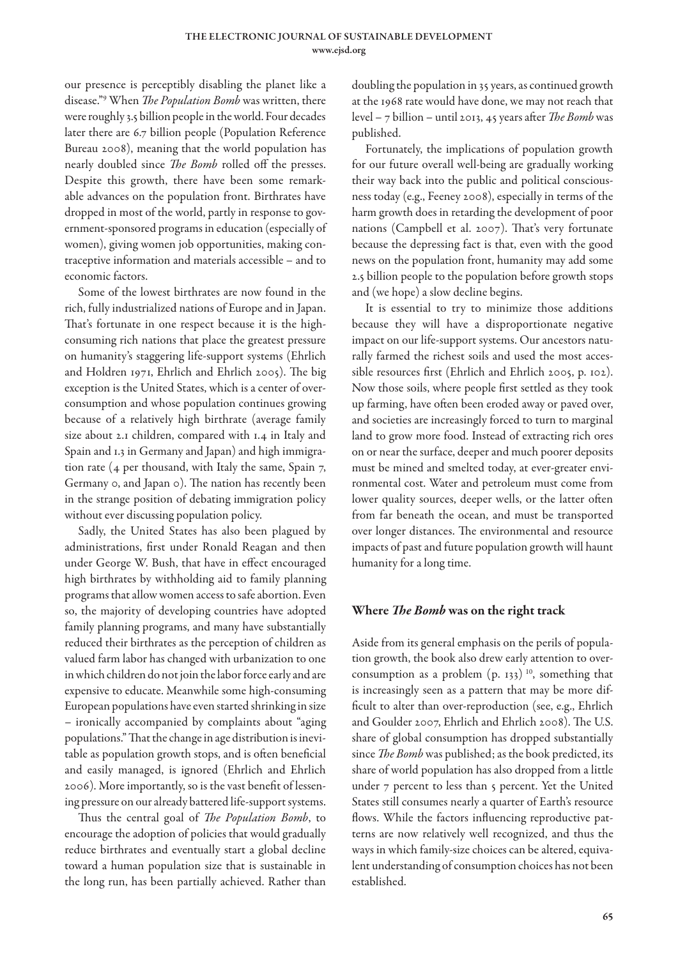our presence is perceptibly disabling the planet like a disease."9 When *The Population Bomb* was written, there were roughly 3.5 billion people in the world. Four decades later there are 6.7 billion people (Population Reference Bureau 2008), meaning that the world population has nearly doubled since *The Bomb* rolled off the presses. Despite this growth, there have been some remarkable advances on the population front. Birthrates have dropped in most of the world, partly in response to government-sponsored programs in education (especially of women), giving women job opportunities, making contraceptive information and materials accessible – and to economic factors.

Some of the lowest birthrates are now found in the rich, fully industrialized nations of Europe and in Japan. That's fortunate in one respect because it is the highconsuming rich nations that place the greatest pressure on humanity's staggering life-support systems (Ehrlich and Holdren 1971, Ehrlich and Ehrlich 2005). The big exception is the United States, which is a center of overconsumption and whose population continues growing because of a relatively high birthrate (average family size about 2.1 children, compared with 1.4 in Italy and Spain and 1.3 in Germany and Japan) and high immigration rate (4 per thousand, with Italy the same, Spain 7, Germany 0, and Japan 0). The nation has recently been in the strange position of debating immigration policy without ever discussing population policy.

Sadly, the United States has also been plagued by administrations, first under Ronald Reagan and then under George W. Bush, that have in effect encouraged high birthrates by withholding aid to family planning programs that allow women access to safe abortion. Even so, the majority of developing countries have adopted family planning programs, and many have substantially reduced their birthrates as the perception of children as valued farm labor has changed with urbanization to one in which children do not join the labor force early and are expensive to educate. Meanwhile some high-consuming European populations have even started shrinking in size – ironically accompanied by complaints about "aging populations." That the change in age distribution is inevitable as population growth stops, and is often beneficial and easily managed, is ignored (Ehrlich and Ehrlich 2006). More importantly, so is the vast benefit of lessening pressure on our already battered life-support systems.

Thus the central goal of *The Population Bomb*, to encourage the adoption of policies that would gradually reduce birthrates and eventually start a global decline toward a human population size that is sustainable in the long run, has been partially achieved. Rather than doubling the population in 35 years, as continued growth at the 1968 rate would have done, we may not reach that level – 7 billion – until 2013, 45 years after *The Bomb* was published.

Fortunately, the implications of population growth for our future overall well-being are gradually working their way back into the public and political consciousness today (e.g., Feeney 2008), especially in terms of the harm growth does in retarding the development of poor nations (Campbell et al. 2007). That's very fortunate because the depressing fact is that, even with the good news on the population front, humanity may add some 2.5 billion people to the population before growth stops and (we hope) a slow decline begins.

It is essential to try to minimize those additions because they will have a disproportionate negative impact on our life-support systems. Our ancestors naturally farmed the richest soils and used the most accessible resources first (Ehrlich and Ehrlich 2005, p. 102). Now those soils, where people first settled as they took up farming, have often been eroded away or paved over, and societies are increasingly forced to turn to marginal land to grow more food. Instead of extracting rich ores on or near the surface, deeper and much poorer deposits must be mined and smelted today, at ever-greater environmental cost. Water and petroleum must come from lower quality sources, deeper wells, or the latter often from far beneath the ocean, and must be transported over longer distances. The environmental and resource impacts of past and future population growth will haunt humanity for a long time.

## Where *The Bomb* was on the right track

Aside from its general emphasis on the perils of population growth, the book also drew early attention to overconsumption as a problem  $(p. 133)^{10}$ , something that is increasingly seen as a pattern that may be more difficult to alter than over-reproduction (see, e.g., Ehrlich and Goulder 2007, Ehrlich and Ehrlich 2008). The U.S. share of global consumption has dropped substantially since *The Bomb* was published; as the book predicted, its share of world population has also dropped from a little under 7 percent to less than 5 percent. Yet the United States still consumes nearly a quarter of Earth's resource flows. While the factors influencing reproductive patterns are now relatively well recognized, and thus the ways in which family-size choices can be altered, equivalent understanding of consumption choices has not been established.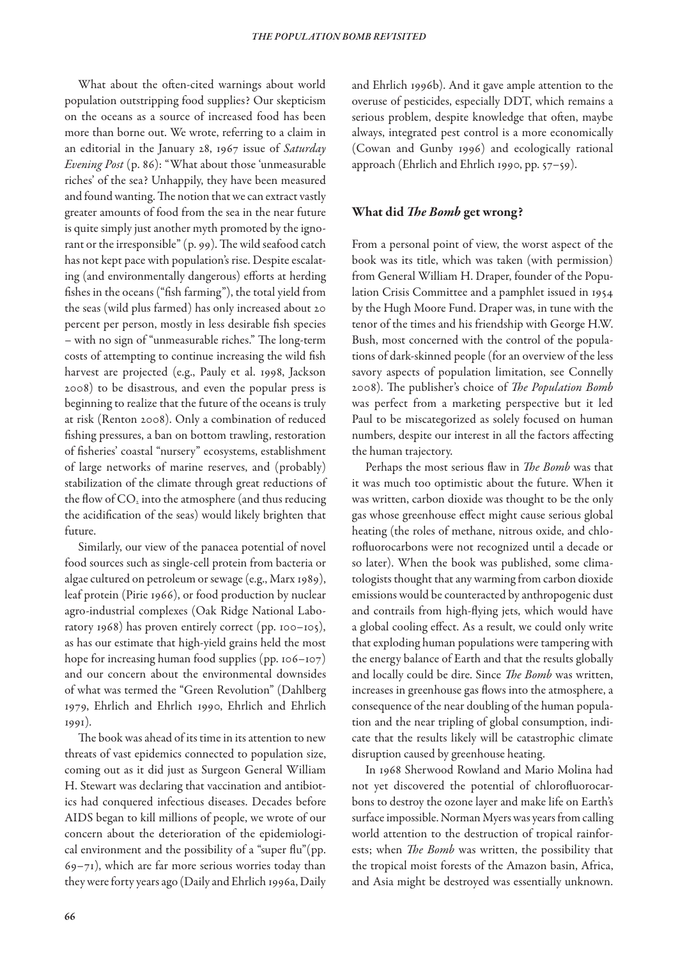What about the often-cited warnings about world population outstripping food supplies? Our skepticism on the oceans as a source of increased food has been more than borne out. We wrote, referring to a claim in an editorial in the January 28, 1967 issue of *Saturday Evening Post* (p. 86): "What about those 'unmeasurable riches' of the sea? Unhappily, they have been measured and found wanting. The notion that we can extract vastly greater amounts of food from the sea in the near future is quite simply just another myth promoted by the ignorant or the irresponsible" (p. 99). The wild seafood catch has not kept pace with population's rise. Despite escalating (and environmentally dangerous) efforts at herding fishes in the oceans ("fish farming"), the total yield from the seas (wild plus farmed) has only increased about 20 percent per person, mostly in less desirable fish species – with no sign of "unmeasurable riches." The long-term costs of attempting to continue increasing the wild fish harvest are projected (e.g., Pauly et al. 1998, Jackson 2008) to be disastrous, and even the popular press is beginning to realize that the future of the oceans is truly at risk (Renton 2008). Only a combination of reduced fishing pressures, a ban on bottom trawling, restoration of fisheries' coastal "nursery" ecosystems, establishment of large networks of marine reserves, and (probably) stabilization of the climate through great reductions of the flow of CO<sub>2</sub> into the atmosphere (and thus reducing the acidification of the seas) would likely brighten that future.

Similarly, our view of the panacea potential of novel food sources such as single-cell protein from bacteria or algae cultured on petroleum or sewage (e.g., Marx 1989), leaf protein (Pirie 1966), or food production by nuclear agro-industrial complexes (Oak Ridge National Laboratory 1968) has proven entirely correct (pp. 100–105), as has our estimate that high-yield grains held the most hope for increasing human food supplies (pp. 106–107) and our concern about the environmental downsides of what was termed the "Green Revolution" (Dahlberg 1979, Ehrlich and Ehrlich 1990, Ehrlich and Ehrlich 1991).

The book was ahead of its time in its attention to new threats of vast epidemics connected to population size, coming out as it did just as Surgeon General William H. Stewart was declaring that vaccination and antibiotics had conquered infectious diseases. Decades before AIDS began to kill millions of people, we wrote of our concern about the deterioration of the epidemiological environment and the possibility of a "super flu"(pp. 69–71), which are far more serious worries today than they were forty years ago (Daily and Ehrlich 1996a, Daily and Ehrlich 1996b). And it gave ample attention to the overuse of pesticides, especially DDT, which remains a serious problem, despite knowledge that often, maybe always, integrated pest control is a more economically (Cowan and Gunby 1996) and ecologically rational approach (Ehrlich and Ehrlich 1990, pp. 57–59).

## What did *The Bomb* get wrong?

From a personal point of view, the worst aspect of the book was its title, which was taken (with permission) from General William H. Draper, founder of the Population Crisis Committee and a pamphlet issued in 1954 by the Hugh Moore Fund. Draper was, in tune with the tenor of the times and his friendship with George H.W. Bush, most concerned with the control of the populations of dark-skinned people (for an overview of the less savory aspects of population limitation, see Connelly 2008). The publisher's choice of *The Population Bomb* was perfect from a marketing perspective but it led Paul to be miscategorized as solely focused on human numbers, despite our interest in all the factors affecting the human trajectory.

Perhaps the most serious flaw in *The Bomb* was that it was much too optimistic about the future. When it was written, carbon dioxide was thought to be the only gas whose greenhouse effect might cause serious global heating (the roles of methane, nitrous oxide, and chlorofluorocarbons were not recognized until a decade or so later). When the book was published, some climatologists thought that any warming from carbon dioxide emissions would be counteracted by anthropogenic dust and contrails from high-flying jets, which would have a global cooling effect. As a result, we could only write that exploding human populations were tampering with the energy balance of Earth and that the results globally and locally could be dire. Since *The Bomb* was written, increases in greenhouse gas flows into the atmosphere, a consequence of the near doubling of the human population and the near tripling of global consumption, indicate that the results likely will be catastrophic climate disruption caused by greenhouse heating.

In 1968 Sherwood Rowland and Mario Molina had not yet discovered the potential of chlorofluorocarbons to destroy the ozone layer and make life on Earth's surface impossible. Norman Myers was years from calling world attention to the destruction of tropical rainforests; when *The Bomb* was written, the possibility that the tropical moist forests of the Amazon basin, Africa, and Asia might be destroyed was essentially unknown.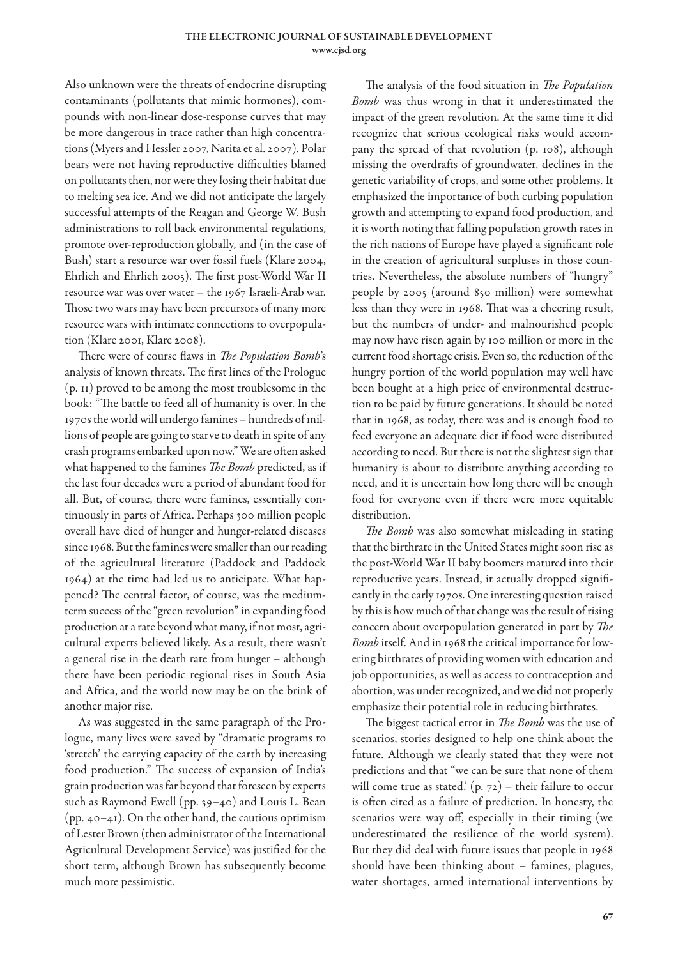www.ejsd.org

Also unknown were the threats of endocrine disrupting contaminants (pollutants that mimic hormones), compounds with non-linear dose-response curves that may be more dangerous in trace rather than high concentrations (Myers and Hessler 2007, Narita et al. 2007). Polar bears were not having reproductive difficulties blamed on pollutants then, nor were they losing their habitat due to melting sea ice. And we did not anticipate the largely successful attempts of the Reagan and George W. Bush administrations to roll back environmental regulations, promote over-reproduction globally, and (in the case of Bush) start a resource war over fossil fuels (Klare 2004, Ehrlich and Ehrlich 2005). The first post-World War II resource war was over water – the 1967 Israeli-Arab war. Those two wars may have been precursors of many more resource wars with intimate connections to overpopulation (Klare 2001, Klare 2008).

There were of course flaws in *The Population Bomb*'s analysis of known threats. The first lines of the Prologue (p. 11) proved to be among the most troublesome in the book: "The battle to feed all of humanity is over. In the 1970s the world will undergo famines – hundreds of millions of people are going to starve to death in spite of any crash programs embarked upon now." We are often asked what happened to the famines *The Bomb* predicted, as if the last four decades were a period of abundant food for all. But, of course, there were famines, essentially continuously in parts of Africa. Perhaps 300 million people overall have died of hunger and hunger-related diseases since 1968. But the famines were smaller than our reading of the agricultural literature (Paddock and Paddock 1964) at the time had led us to anticipate. What happened? The central factor, of course, was the mediumterm success of the "green revolution" in expanding food production at a rate beyond what many, if not most, agricultural experts believed likely. As a result, there wasn't a general rise in the death rate from hunger – although there have been periodic regional rises in South Asia and Africa, and the world now may be on the brink of another major rise.

As was suggested in the same paragraph of the Prologue, many lives were saved by "dramatic programs to 'stretch' the carrying capacity of the earth by increasing food production." The success of expansion of India's grain production was far beyond that foreseen by experts such as Raymond Ewell (pp. 39–40) and Louis L. Bean (pp.  $40-41$ ). On the other hand, the cautious optimism of Lester Brown (then administrator of the International Agricultural Development Service) was justified for the short term, although Brown has subsequently become much more pessimistic.

The analysis of the food situation in *The Population Bomb* was thus wrong in that it underestimated the impact of the green revolution. At the same time it did recognize that serious ecological risks would accompany the spread of that revolution (p. 108), although missing the overdrafts of groundwater, declines in the genetic variability of crops, and some other problems. It emphasized the importance of both curbing population growth and attempting to expand food production, and it is worth noting that falling population growth rates in the rich nations of Europe have played a significant role in the creation of agricultural surpluses in those countries. Nevertheless, the absolute numbers of "hungry" people by 2005 (around 850 million) were somewhat less than they were in 1968. That was a cheering result, but the numbers of under- and malnourished people may now have risen again by 100 million or more in the current food shortage crisis. Even so, the reduction of the hungry portion of the world population may well have been bought at a high price of environmental destruction to be paid by future generations. It should be noted that in 1968, as today, there was and is enough food to feed everyone an adequate diet if food were distributed according to need. But there is not the slightest sign that humanity is about to distribute anything according to need, and it is uncertain how long there will be enough food for everyone even if there were more equitable distribution.

*The Bomb* was also somewhat misleading in stating that the birthrate in the United States might soon rise as the post-World War II baby boomers matured into their reproductive years. Instead, it actually dropped significantly in the early 1970s. One interesting question raised by this is how much of that change was the result of rising concern about overpopulation generated in part by *The Bomb* itself. And in 1968 the critical importance for lowering birthrates of providing women with education and job opportunities, as well as access to contraception and abortion, was under recognized, and we did not properly emphasize their potential role in reducing birthrates.

The biggest tactical error in *The Bomb* was the use of scenarios, stories designed to help one think about the future. Although we clearly stated that they were not predictions and that "we can be sure that none of them will come true as stated,  $(p. 72)$  – their failure to occur is often cited as a failure of prediction. In honesty, the scenarios were way off, especially in their timing (we underestimated the resilience of the world system). But they did deal with future issues that people in 1968 should have been thinking about – famines, plagues, water shortages, armed international interventions by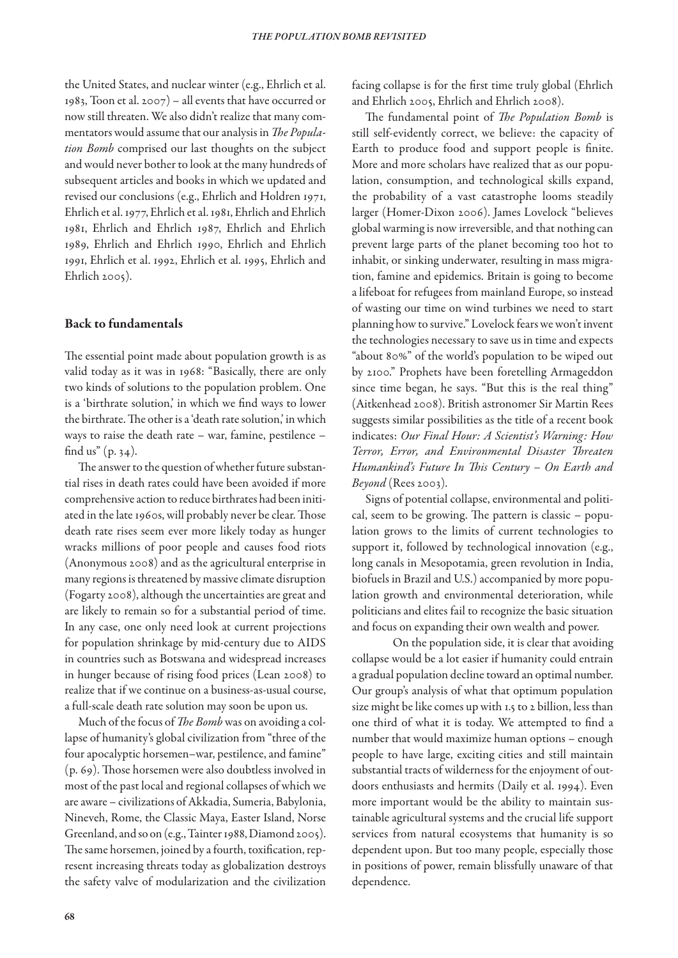the United States, and nuclear winter (e.g., Ehrlich et al. 1983, Toon et al. 2007) – all events that have occurred or now still threaten. We also didn't realize that many commentators would assume that our analysis in *The Population Bomb* comprised our last thoughts on the subject and would never bother to look at the many hundreds of subsequent articles and books in which we updated and revised our conclusions (e.g., Ehrlich and Holdren 1971, Ehrlich et al. 1977, Ehrlich et al. 1981, Ehrlich and Ehrlich 1981, Ehrlich and Ehrlich 1987, Ehrlich and Ehrlich 1989, Ehrlich and Ehrlich 1990, Ehrlich and Ehrlich 1991, Ehrlich et al. 1992, Ehrlich et al. 1995, Ehrlich and Ehrlich 2005).

## Back to fundamentals

The essential point made about population growth is as valid today as it was in 1968: "Basically, there are only two kinds of solutions to the population problem. One is a 'birthrate solution,' in which we find ways to lower the birthrate. The other is a 'death rate solution,' in which ways to raise the death rate – war, famine, pestilence – find us"  $(p. 34)$ .

The answer to the question of whether future substantial rises in death rates could have been avoided if more comprehensive action to reduce birthrates had been initiated in the late 1960s, will probably never be clear. Those death rate rises seem ever more likely today as hunger wracks millions of poor people and causes food riots (Anonymous 2008) and as the agricultural enterprise in many regions is threatened by massive climate disruption (Fogarty 2008), although the uncertainties are great and are likely to remain so for a substantial period of time. In any case, one only need look at current projections for population shrinkage by mid-century due to AIDS in countries such as Botswana and widespread increases in hunger because of rising food prices (Lean 2008) to realize that if we continue on a business-as-usual course, a full-scale death rate solution may soon be upon us.

Much of the focus of *The Bomb* was on avoiding a collapse of humanity's global civilization from "three of the four apocalyptic horsemen–war, pestilence, and famine" (p. 69). Those horsemen were also doubtless involved in most of the past local and regional collapses of which we are aware – civilizations of Akkadia, Sumeria, Babylonia, Nineveh, Rome, the Classic Maya, Easter Island, Norse Greenland, and so on (e.g., Tainter 1988, Diamond 2005). The same horsemen, joined by a fourth, toxification, represent increasing threats today as globalization destroys the safety valve of modularization and the civilization facing collapse is for the first time truly global (Ehrlich and Ehrlich 2005, Ehrlich and Ehrlich 2008).

The fundamental point of *The Population Bomb* is still self-evidently correct, we believe: the capacity of Earth to produce food and support people is finite. More and more scholars have realized that as our population, consumption, and technological skills expand, the probability of a vast catastrophe looms steadily larger (Homer-Dixon 2006). James Lovelock "believes global warming is now irreversible, and that nothing can prevent large parts of the planet becoming too hot to inhabit, or sinking underwater, resulting in mass migration, famine and epidemics. Britain is going to become a lifeboat for refugees from mainland Europe, so instead of wasting our time on wind turbines we need to start planning how to survive." Lovelock fears we won't invent the technologies necessary to save us in time and expects "about 80%" of the world's population to be wiped out by 2100." Prophets have been foretelling Armageddon since time began, he says. "But this is the real thing" (Aitkenhead 2008). British astronomer Sir Martin Rees suggests similar possibilities as the title of a recent book indicates: *Our Final Hour: A Scientist's Warning: How Terror, Error, and Environmental Disaster Threaten Humankind's Future In This Century – On Earth and Beyond* (Rees 2003).

Signs of potential collapse, environmental and political, seem to be growing. The pattern is classic – population grows to the limits of current technologies to support it, followed by technological innovation (e.g., long canals in Mesopotamia, green revolution in India, biofuels in Brazil and U.S.) accompanied by more population growth and environmental deterioration, while politicians and elites fail to recognize the basic situation and focus on expanding their own wealth and power.

On the population side, it is clear that avoiding collapse would be a lot easier if humanity could entrain a gradual population decline toward an optimal number. Our group's analysis of what that optimum population size might be like comes up with 1.5 to 2 billion, less than one third of what it is today. We attempted to find a number that would maximize human options – enough people to have large, exciting cities and still maintain substantial tracts of wilderness for the enjoyment of outdoors enthusiasts and hermits (Daily et al. 1994). Even more important would be the ability to maintain sustainable agricultural systems and the crucial life support services from natural ecosystems that humanity is so dependent upon. But too many people, especially those in positions of power, remain blissfully unaware of that dependence.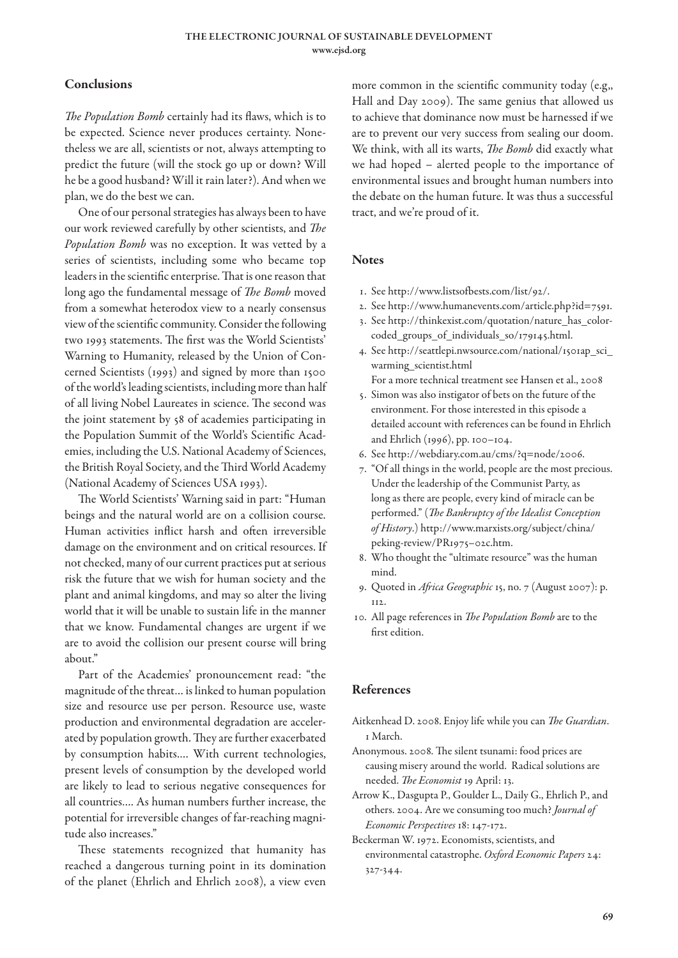# Conclusions

*The Population Bomb* certainly had its flaws, which is to be expected. Science never produces certainty. Nonetheless we are all, scientists or not, always attempting to predict the future (will the stock go up or down? Will he be a good husband? Will it rain later?). And when we plan, we do the best we can.

One of our personal strategies has always been to have our work reviewed carefully by other scientists, and *The Population Bomb* was no exception. It was vetted by a series of scientists, including some who became top leaders in the scientific enterprise. That is one reason that long ago the fundamental message of *The Bomb* moved from a somewhat heterodox view to a nearly consensus view of the scientific community. Consider the following two 1993 statements. The first was the World Scientists' Warning to Humanity, released by the Union of Concerned Scientists (1993) and signed by more than 1500 of the world's leading scientists, including more than half of all living Nobel Laureates in science. The second was the joint statement by 58 of academies participating in the Population Summit of the World's Scientific Academies, including the U.S. National Academy of Sciences, the British Royal Society, and the Third World Academy (National Academy of Sciences USA 1993).

The World Scientists' Warning said in part: "Human beings and the natural world are on a collision course. Human activities inflict harsh and often irreversible damage on the environment and on critical resources. If not checked, many of our current practices put at serious risk the future that we wish for human society and the plant and animal kingdoms, and may so alter the living world that it will be unable to sustain life in the manner that we know. Fundamental changes are urgent if we are to avoid the collision our present course will bring about."

Part of the Academies' pronouncement read: "the magnitude of the threat… is linked to human population size and resource use per person. Resource use, waste production and environmental degradation are accelerated by population growth. They are further exacerbated by consumption habits.… With current technologies, present levels of consumption by the developed world are likely to lead to serious negative consequences for all countries…. As human numbers further increase, the potential for irreversible changes of far-reaching magnitude also increases."

These statements recognized that humanity has reached a dangerous turning point in its domination of the planet (Ehrlich and Ehrlich 2008), a view even

more common in the scientific community today (e.g,, Hall and Day 2009). The same genius that allowed us to achieve that dominance now must be harnessed if we are to prevent our very success from sealing our doom. We think, with all its warts, *The Bomb* did exactly what we had hoped – alerted people to the importance of environmental issues and brought human numbers into the debate on the human future. It was thus a successful tract, and we're proud of it.

## **Notes**

- 1. See http://www.listsofbests.com/list/92/.
- 2. See http://www.humanevents.com/article.php?id=7591.
- 3. See http://thinkexist.com/quotation/nature\_has\_colorcoded\_groups\_of\_individuals\_so/179145.html.
- 4. See http://seattlepi.nwsource.com/national/1501ap\_sci\_ warming\_scientist.html
- For a more technical treatment see Hansen et al., 2008 5. Simon was also instigator of bets on the future of the
- environment. For those interested in this episode a detailed account with references can be found in Ehrlich and Ehrlich (1996), pp. 100–104.
- 6. See http://webdiary.com.au/cms/?q=node/2006.
- 7. "Of all things in the world, people are the most precious. Under the leadership of the Communist Party, as long as there are people, every kind of miracle can be performed." (*The Bankruptcy of the Idealist Conception of History*.) http://www.marxists.org/subject/china/ peking-review/PR1975–02c.htm.
- 8. Who thought the "ultimate resource" was the human mind.
- 9. Quoted in *Africa Geographic* 15, no. 7 (August 2007): p. 112.
- 10. All page references in *The Population Bomb* are to the first edition.

# References

- Aitkenhead D. 2008. Enjoy life while you can *The Guardian*. 1 March.
- Anonymous. 2008. The silent tsunami: food prices are causing misery around the world. Radical solutions are needed. *The Economist* 19 April: 13.
- Arrow K., Dasgupta P., Goulder L., Daily G., Ehrlich P., and others. 2004. Are we consuming too much? *Journal of Economic Perspectives* 18: 147-172.
- Beckerman W. 1972. Economists, scientists, and environmental catastrophe. *Oxford Economic Papers* 24: 327-344.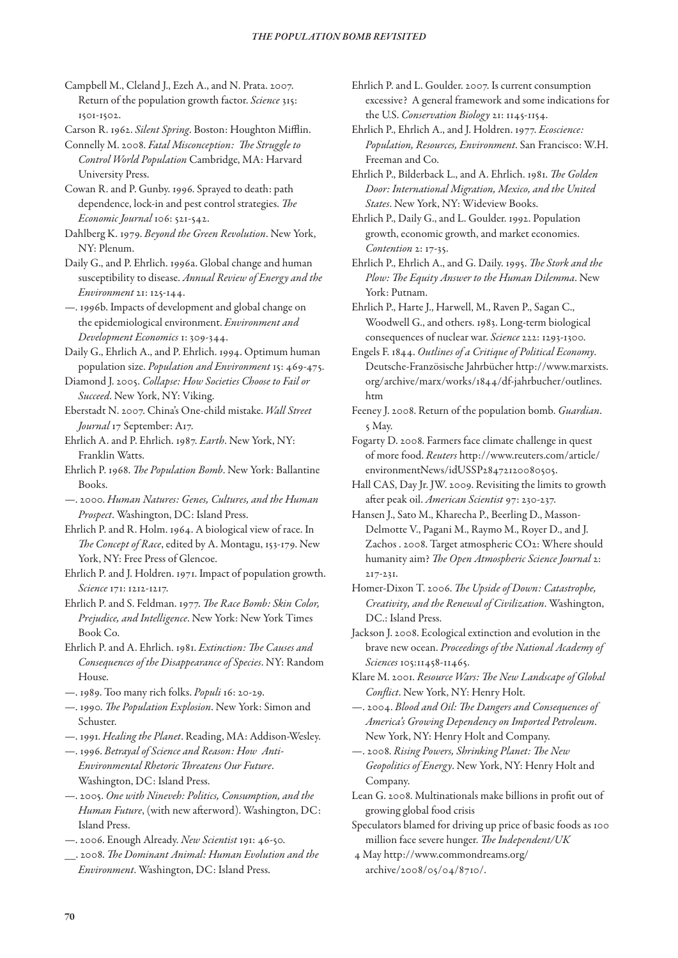- Campbell M., Cleland J., Ezeh A., and N. Prata. 2007. Return of the population growth factor. *Science* 315: 1501-1502.
- Carson R. 1962. *Silent Spring*. Boston: Houghton Mifflin.
- Connelly M. 2008. *Fatal Misconception: The Struggle to Control World Population* Cambridge, MA: Harvard University Press.
- Cowan R. and P. Gunby. 1996. Sprayed to death: path dependence, lock-in and pest control strategies. *The Economic Journal* 106: 521-542.
- Dahlberg K. 1979. *Beyond the Green Revolution*. New York, NY: Plenum.
- Daily G., and P. Ehrlich. 1996a. Global change and human susceptibility to disease. *Annual Review of Energy and the Environment* 21: 125-144.
- —. 1996b. Impacts of development and global change on the epidemiological environment. *Environment and Development Economics* 1: 309-344.
- Daily G., Ehrlich A., and P. Ehrlich. 1994. Optimum human population size. *Population and Environment* 15: 469-475.
- Diamond J. 2005. *Collapse: How Societies Choose to Fail or Succeed*. New York, NY: Viking.
- Eberstadt N. 2007. China's One-child mistake. *Wall Street Journal* 17 September: A17.
- Ehrlich A. and P. Ehrlich. 1987. *Earth*. New York, NY: Franklin Watts.
- Ehrlich P. 1968. *The Population Bomb*. New York: Ballantine Books.
- —. 2000. *Human Natures: Genes, Cultures, and the Human Prospect*. Washington, DC: Island Press.
- Ehrlich P. and R. Holm. 1964. A biological view of race. In *The Concept of Race*, edited by A. Montagu, 153-179. New York, NY: Free Press of Glencoe.
- Ehrlich P. and J. Holdren. 1971. Impact of population growth. *Science* 171: 1212-1217.
- Ehrlich P. and S. Feldman. 1977. *The Race Bomb: Skin Color, Prejudice, and Intelligence*. New York: New York Times Book Co.
- Ehrlich P. and A. Ehrlich. 1981. *Extinction: The Causes and Consequences of the Disappearance of Species*. NY: Random House.
- —. 1989. Too many rich folks. *Populi* 16: 20-29.
- —. 1990. *The Population Explosion*. New York: Simon and Schuster.
- —. 1991. *Healing the Planet*. Reading, MA: Addison-Wesley.
- —. 1996. *Betrayal of Science and Reason: How Anti-Environmental Rhetoric Threatens Our Future*. Washington, DC: Island Press.
- —. 2005. *One with Nineveh: Politics, Consumption, and the Human Future*, (with new afterword). Washington, DC: Island Press.
- —. 2006. Enough Already. *New Scientist* 191: 46-50.
- \_\_. 2008. *The Dominant Animal: Human Evolution and the Environment*. Washington, DC: Island Press.
- Ehrlich P. and L. Goulder. 2007. Is current consumption excessive? A general framework and some indications for the U.S. *Conservation Biology* 21: 1145-1154.
- Ehrlich P., Ehrlich A., and J. Holdren. 1977. *Ecoscience: Population, Resources, Environment*. San Francisco: W.H. Freeman and Co.
- Ehrlich P., Bilderback L., and A. Ehrlich. 1981. *The Golden Door: International Migration, Mexico, and the United States*. New York, NY: Wideview Books.
- Ehrlich P., Daily G., and L. Goulder. 1992. Population growth, economic growth, and market economies. *Contention* 2: 17-35.
- Ehrlich P., Ehrlich A., and G. Daily. 1995. *The Stork and the Plow: The Equity Answer to the Human Dilemma*. New York: Putnam.
- Ehrlich P., Harte J., Harwell, M., Raven P., Sagan C., Woodwell G., and others. 1983. Long-term biological consequences of nuclear war. *Science* 222: 1293-1300.
- Engels F. 1844. *Outlines of a Critique of Political Economy*. Deutsche-Französische Jahrbücher http://www.marxists. org/archive/marx/works/1844/df-jahrbucher/outlines. htm
- Feeney J. 2008. Return of the population bomb. *Guardian*. 5 May.
- Fogarty D. 2008. Farmers face climate challenge in quest of more food. *Reuters* http://www.reuters.com/article/ environmentNews/idUSSP28472120080505.
- Hall CAS, Day Jr. JW. 2009. Revisiting the limits to growth after peak oil. *American Scientist* 97: 230-237.
- Hansen J., Sato M., Kharecha P., Beerling D., Masson-Delmotte V., Pagani M., Raymo M., Royer D., and J. Zachos . 2008. Target atmospheric CO2: Where should humanity aim? *The Open Atmospheric Science Journal* 2: 217-231.
- Homer-Dixon T. 2006. *The Upside of Down: Catastrophe, Creativity, and the Renewal of Civilization*. Washington, DC.: Island Press.
- Jackson J. 2008. Ecological extinction and evolution in the brave new ocean. *Proceedings of the National Academy of Sciences* 105:11458-11465.
- Klare M. 2001. *Resource Wars: The New Landscape of Global Conflict*. New York, NY: Henry Holt.
- —. 2004. *Blood and Oil: The Dangers and Consequences of America's Growing Dependency on Imported Petroleum*. New York, NY: Henry Holt and Company.
- —. 2008. *Rising Powers, Shrinking Planet: The New Geopolitics of Energy*. New York, NY: Henry Holt and Company.
- Lean G. 2008. Multinationals make billions in profit out of growing global food crisis
- Speculators blamed for driving up price of basic foods as 100 million face severe hunger. *The Independent/UK*
- 4 May http://www.commondreams.org/ archive/2008/05/04/8710/.